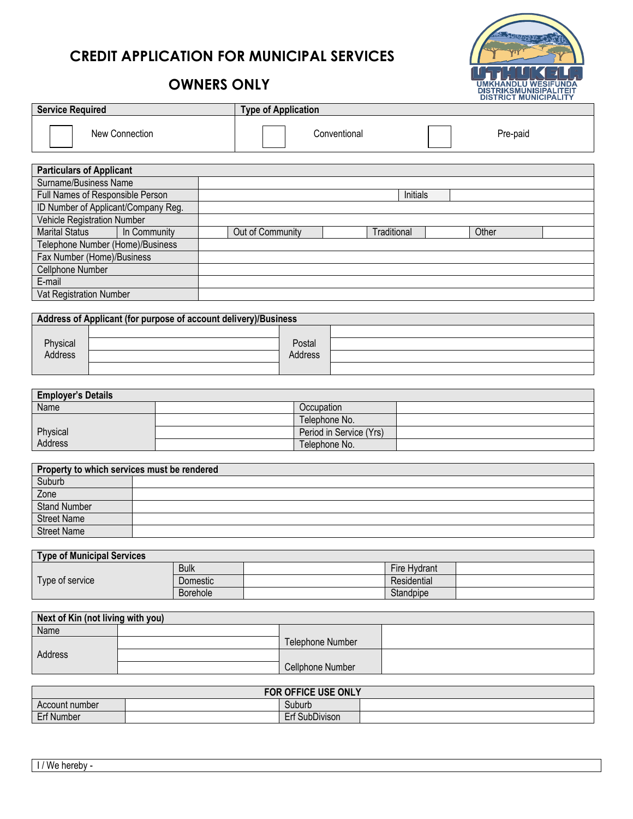## **CREDIT APPLICATION FOR MUNICIPAL SERVICES**



## **OWNERS ONLY**

| <b>Service Required</b>             |              | <b>Type of Application</b> |              |             |          |  |
|-------------------------------------|--------------|----------------------------|--------------|-------------|----------|--|
| New Connection                      |              |                            | Conventional |             | Pre-paid |  |
| <b>Particulars of Applicant</b>     |              |                            |              |             |          |  |
| Surname/Business Name               |              |                            |              |             |          |  |
| Full Names of Responsible Person    |              |                            |              | Initials    |          |  |
| ID Number of Applicant/Company Reg. |              |                            |              |             |          |  |
| Vehicle Registration Number         |              |                            |              |             |          |  |
| <b>Marital Status</b>               | In Community | Out of Community           |              | Traditional | Other    |  |
| Telephone Number (Home)/Business    |              |                            |              |             |          |  |
| Fax Number (Home)/Business          |              |                            |              |             |          |  |
| Cellphone Number                    |              |                            |              |             |          |  |
| E-mail                              |              |                            |              |             |          |  |

| Address of Applicant (for purpose of account delivery)/Business |  |         |  |  |  |
|-----------------------------------------------------------------|--|---------|--|--|--|
|                                                                 |  |         |  |  |  |
| Physical                                                        |  | Postal  |  |  |  |
| Address                                                         |  | Address |  |  |  |
|                                                                 |  |         |  |  |  |

| <b>Employer's Details</b> |                         |  |  |  |  |
|---------------------------|-------------------------|--|--|--|--|
| Name                      | Occupation              |  |  |  |  |
|                           | Telephone No.           |  |  |  |  |
| Physical                  | Period in Service (Yrs) |  |  |  |  |
| Address                   | Telephone No.           |  |  |  |  |

| Property to which services must be rendered |  |  |  |  |
|---------------------------------------------|--|--|--|--|
| Suburb                                      |  |  |  |  |
| Zone                                        |  |  |  |  |
| <b>Stand Number</b>                         |  |  |  |  |
| <b>Street Name</b>                          |  |  |  |  |
| <b>Street Name</b>                          |  |  |  |  |

| Type of Municipal Services |                 |  |              |  |  |  |
|----------------------------|-----------------|--|--------------|--|--|--|
|                            | <b>Bulk</b>     |  | Fire Hydrant |  |  |  |
| Type of service            | Domestic        |  | Residential  |  |  |  |
|                            | <b>Borehole</b> |  | Standpipe    |  |  |  |

| Next of Kin (not living with you) |  |                  |  |  |
|-----------------------------------|--|------------------|--|--|
| Name                              |  |                  |  |  |
|                                   |  | Telephone Number |  |  |
| Address                           |  |                  |  |  |
|                                   |  | Cellphone Number |  |  |

| FOR OFFICE USE ONLY      |  |                           |  |  |  |
|--------------------------|--|---------------------------|--|--|--|
| Suburb<br>Account number |  |                           |  |  |  |
| <b>Erf Number</b>        |  | <b>SubDivison</b><br>ᄃᅠᇉᇆ |  |  |  |

Vat Registration Number